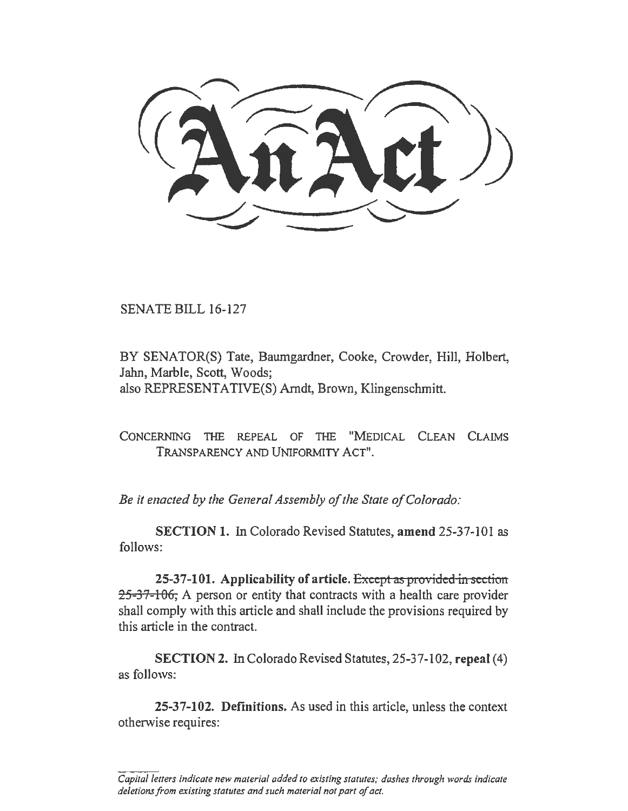SENATE BILL 16-127

BY SENATOR(S) Tate, Baumgardner, Cooke, Crowder, Hill, Holbert, Jahn, Marble, Scott, Woods; also REPRESENTATIVE(S) Arndt, Brown, Klingenschmitt.

CONCERNING THE REPEAL OF THE "MEDICAL CLEAN CLAIMS TRANSPARENCY AND UNIFORMITY ACT".

*Be it enacted by the General Assembly of the State of Colorado:* 

SECTION 1. In Colorado Revised Statutes, amend 25-37-101 as follows:

25-37-101. Applicability of article. Except as provided in section 25-37-106, A person or entity that contracts with a health care provider shall comply with this article and shall include the provisions required by this article in the contract.

SECTION 2. In Colorado Revised Statutes, 25-37-102, repeal (4) as follows:

25-37-102. Definitions. As used in this article, unless the context otherwise requires:

*Capital letters indicate new material added to existing statutes; dashes through words indicate deletions from existing statutes and such material not part of act.*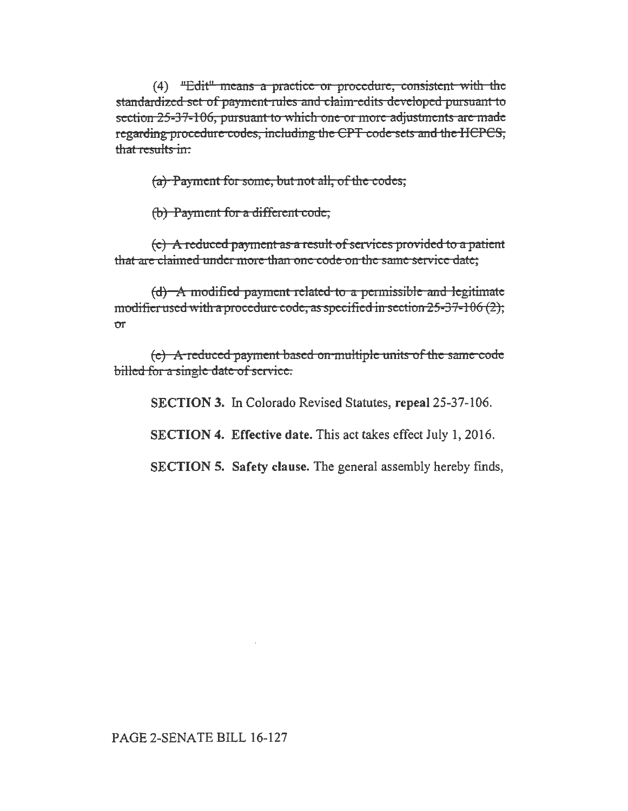(4) "Edit" means a practice or procedure, consistent with the standardized set of payment rules and claim-edits developed pursuant to section 25-37-106, pursuant to which one or more adjustments are made regarding procedure codes, including the CPT code sets and the HCPCS, that results in:

 $(a)$  Payment for some, but not all, of the codes;

(b) Payment for a different code,

 $(c)$  A reduced payment as a result of services provided to a patient that are claimed under more than one code on the same service date:

 $(d)$  A modified payment related to a permissible and legitimate modifier used with a procedure code, as specified in section  $25-37-106$  (2), or

(e) A reduced payment based on multiple units of the same code billed for a single date of service.

SECTION 3. In Colorado Revised Statutes, repeal 25-37-106.

SECTION 4. Effective date. This act takes effect July 1, 2016.

SECTION 5. Safety clause. The general assembly hereby finds,